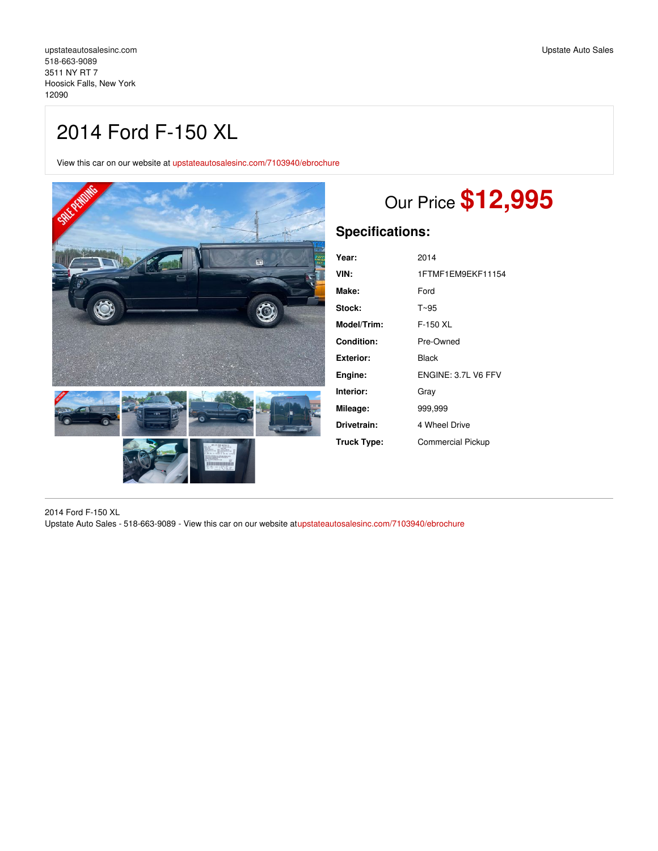View this car on our website at [upstateautosalesinc.com/7103940/ebrochure](https://upstateautosalesinc.com/vehicle/7103940/2014-ford-f-150-xl-hoosick-falls-new-york-12090/7103940/ebrochure)



# Our Price **\$12,995**

# **Specifications:**

| Year:       | 2014                     |
|-------------|--------------------------|
|             |                          |
| VIN:        | 1FTMF1EM9EKF11154        |
| Make:       | Ford                     |
| Stock:      | T~95                     |
| Model/Trim: | $F-150$ XL               |
| Condition:  | Pre-Owned                |
| Exterior:   | Black                    |
| Engine:     | ENGINE: 3.7L V6 FFV      |
| Interior:   | Gray                     |
| Mileage:    | 999,999                  |
| Drivetrain: | 4 Wheel Drive            |
| Truck Type: | <b>Commercial Pickup</b> |

2014 Ford F-150 XL Upstate Auto Sales - 518-663-9089 - View this car on our website a[tupstateautosalesinc.com/7103940/ebrochure](https://upstateautosalesinc.com/vehicle/7103940/2014-ford-f-150-xl-hoosick-falls-new-york-12090/7103940/ebrochure)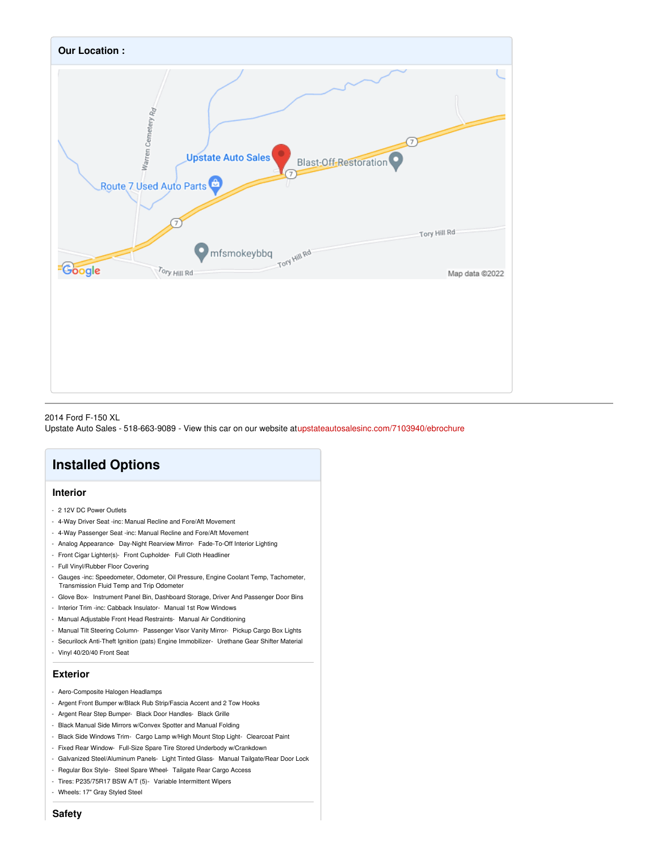

#### 2014 Ford F-150 XL

Upstate Auto Sales - 518-663-9089 - View this car on our website a[tupstateautosalesinc.com/7103940/ebrochure](https://upstateautosalesinc.com/vehicle/7103940/2014-ford-f-150-xl-hoosick-falls-new-york-12090/7103940/ebrochure)

## **Installed Options**

### **Interior**

- 2 12V DC Power Outlets
- 4-Way Driver Seat -inc: Manual Recline and Fore/Aft Movement
- 4-Way Passenger Seat -inc: Manual Recline and Fore/Aft Movement
- Analog Appearance- Day-Night Rearview Mirror- Fade-To-Off Interior Lighting
- Front Cigar Lighter(s)- Front Cupholder- Full Cloth Headliner
- Full Vinyl/Rubber Floor Covering
- Gauges -inc: Speedometer, Odometer, Oil Pressure, Engine Coolant Temp, Tachometer, Transmission Fluid Temp and Trip Odometer
- Glove Box- Instrument Panel Bin, Dashboard Storage, Driver And Passenger Door Bins
- Interior Trim -inc: Cabback Insulator- Manual 1st Row Windows
- Manual Adjustable Front Head Restraints- Manual Air Conditioning
- Manual Tilt Steering Column- Passenger Visor Vanity Mirror- Pickup Cargo Box Lights
- Securilock Anti-Theft Ignition (pats) Engine Immobilizer- Urethane Gear Shifter Material
- Vinyl 40/20/40 Front Seat

#### **Exterior**

- Aero-Composite Halogen Headlamps
- Argent Front Bumper w/Black Rub Strip/Fascia Accent and 2 Tow Hooks
- Argent Rear Step Bumper- Black Door Handles- Black Grille
- Black Manual Side Mirrors w/Convex Spotter and Manual Folding
- Black Side Windows Trim- Cargo Lamp w/High Mount Stop Light- Clearcoat Paint
- Fixed Rear Window- Full-Size Spare Tire Stored Underbody w/Crankdown
- Galvanized Steel/Aluminum Panels- Light Tinted Glass- Manual Tailgate/Rear Door Lock
- Regular Box Style- Steel Spare Wheel- Tailgate Rear Cargo Access
- Tires: P235/75R17 BSW A/T (5)- Variable Intermittent Wipers
- Wheels: 17" Gray Styled Steel